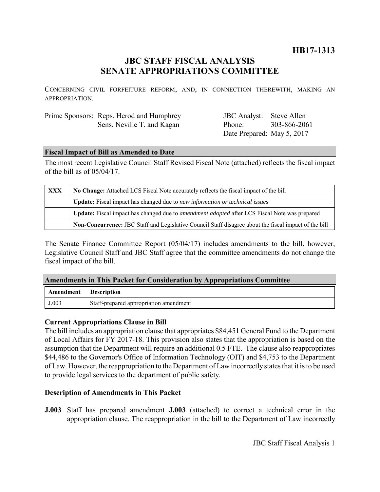# **HB17-1313**

# **JBC STAFF FISCAL ANALYSIS SENATE APPROPRIATIONS COMMITTEE**

CONCERNING CIVIL FORFEITURE REFORM, AND, IN CONNECTION THEREWITH, MAKING AN APPROPRIATION.

| Prime Sponsors: Reps. Herod and Humphrey |
|------------------------------------------|
| Sens. Neville T. and Kagan               |

JBC Analyst: Steve Allen Phone: Date Prepared: May 5, 2017 303-866-2061

### **Fiscal Impact of Bill as Amended to Date**

The most recent Legislative Council Staff Revised Fiscal Note (attached) reflects the fiscal impact of the bill as of 05/04/17.

| <b>XXX</b> | No Change: Attached LCS Fiscal Note accurately reflects the fiscal impact of the bill                 |  |
|------------|-------------------------------------------------------------------------------------------------------|--|
|            | Update: Fiscal impact has changed due to new information or technical issues                          |  |
|            | Update: Fiscal impact has changed due to <i>amendment adopted</i> after LCS Fiscal Note was prepared  |  |
|            | Non-Concurrence: JBC Staff and Legislative Council Staff disagree about the fiscal impact of the bill |  |

The Senate Finance Committee Report (05/04/17) includes amendments to the bill, however, Legislative Council Staff and JBC Staff agree that the committee amendments do not change the fiscal impact of the bill.

### **Amendments in This Packet for Consideration by Appropriations Committee**

| <b>Amendment</b> Description |                                        |
|------------------------------|----------------------------------------|
| J.003                        | Staff-prepared appropriation amendment |

### **Current Appropriations Clause in Bill**

The bill includes an appropriation clause that appropriates \$84,451 General Fund to the Department of Local Affairs for FY 2017-18. This provision also states that the appropriation is based on the assumption that the Department will require an additional 0.5 FTE. The clause also reappropriates \$44,486 to the Governor's Office of Information Technology (OIT) and \$4,753 to the Department of Law. However, the reappropriation to the Department of Law incorrectly states that it is to be used to provide legal services to the department of public safety.

# **Description of Amendments in This Packet**

**J.003** Staff has prepared amendment **J.003** (attached) to correct a technical error in the appropriation clause. The reappropriation in the bill to the Department of Law incorrectly